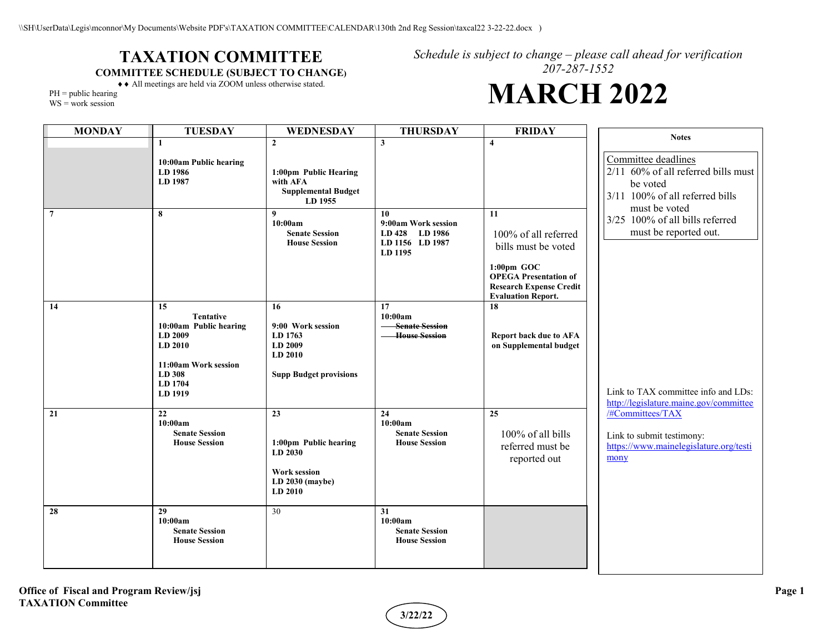## **TAXATION COMMITTEE COMMITTEE SCHEDULE (SUBJECT TO CHANGE)**

*Schedule is subject to change – please call ahead for verification 207-287-1552*

## **MARCH 2022**

♦♦ All meetings are held via ZOOM unless otherwise stated.  $PH = public hearing$ 

WS = work session

| <b>MONDAY</b>   | <b>TUESDAY</b>                                                                                                                 | WEDNESDAY                                                                                            | <b>THURSDAY</b>                                                           | <b>FRIDAY</b>                                                                                                                                                     | <b>Notes</b>                                                                                                               |
|-----------------|--------------------------------------------------------------------------------------------------------------------------------|------------------------------------------------------------------------------------------------------|---------------------------------------------------------------------------|-------------------------------------------------------------------------------------------------------------------------------------------------------------------|----------------------------------------------------------------------------------------------------------------------------|
|                 | 1<br>10:00am Public hearing<br>LD 1986<br>LD 1987                                                                              | $\overline{2}$<br>1:00pm Public Hearing<br>with AFA<br><b>Supplemental Budget</b><br>LD 1955         | 3                                                                         | $\overline{\mathbf{4}}$                                                                                                                                           | Committee deadlines<br>2/11 60% of all referred bills must<br>be voted<br>3/11 100% of all referred bills<br>must be voted |
| $7\phantom{.0}$ | 8                                                                                                                              | 9<br>10:00am<br><b>Senate Session</b><br><b>House Session</b>                                        | 10<br>9:00am Work session<br>LD 428 LD 1986<br>LD 1156 LD 1987<br>LD 1195 | 11<br>100% of all referred<br>bills must be voted<br>$1:00$ pm GOC<br><b>OPEGA Presentation of</b><br><b>Research Expense Credit</b><br><b>Evaluation Report.</b> | 3/25 100% of all bills referred<br>must be reported out.                                                                   |
| 14              | 15<br><b>Tentative</b><br>10:00am Public hearing<br>LD 2009<br>LD 2010<br>11:00am Work session<br>LD 308<br>LD 1704<br>LD 1919 | 16<br>9:00 Work session<br>LD 1763<br>LD 2009<br>LD 2010<br><b>Supp Budget provisions</b>            | 17<br>10:00am<br><b>Senate Session</b><br><b>House Session</b>            | 18<br><b>Report back due to AFA</b><br>on Supplemental budget                                                                                                     | Link to TAX committee info and LDs:<br>http://legislature.maine.gov/committee                                              |
| 21              | 22<br>10:00am<br><b>Senate Session</b><br><b>House Session</b>                                                                 | 23<br>1:00pm Public hearing<br><b>LD 2030</b><br><b>Work session</b><br>$LD$ 2030 (maybe)<br>LD 2010 | 24<br>10:00am<br><b>Senate Session</b><br><b>House Session</b>            | 25<br>$100\%$ of all bills<br>referred must be<br>reported out                                                                                                    | /#Committees/TAX<br>Link to submit testimony:<br>https://www.mainelegislature.org/testi<br>mony                            |
| 28              | 29<br>10:00am<br><b>Senate Session</b><br><b>House Session</b>                                                                 | 30                                                                                                   | 31<br>10:00am<br><b>Senate Session</b><br><b>House Session</b>            |                                                                                                                                                                   |                                                                                                                            |